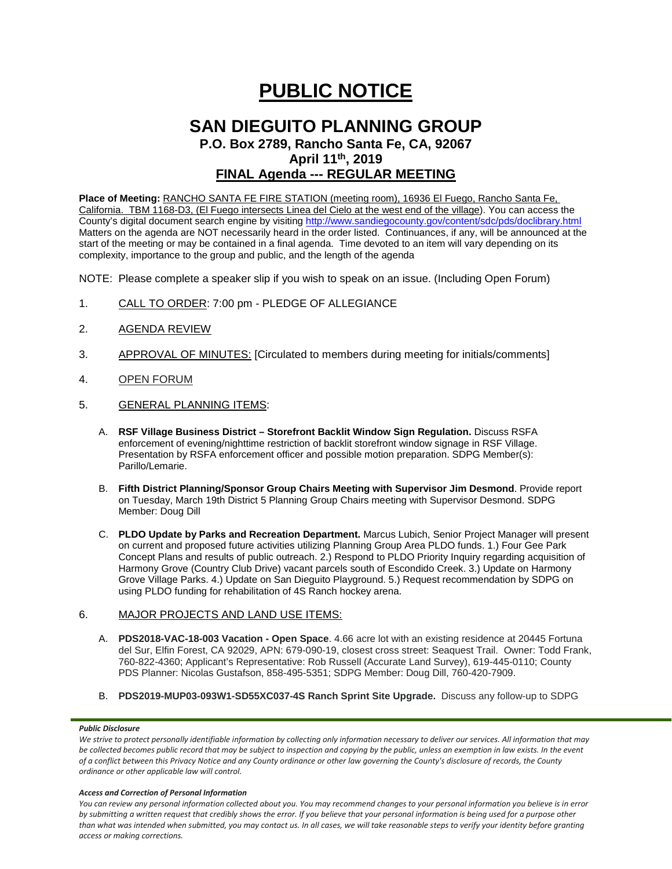# **PUBLIC NOTICE**

# **SAN DIEGUITO PLANNING GROUP P.O. Box 2789, Rancho Santa Fe, CA, 92067 April 11th, 2019 FINAL Agenda --- REGULAR MEETING**

**Place of Meeting:** RANCHO SANTA FE FIRE STATION (meeting room), 16936 El Fuego, Rancho Santa Fe, California. TBM 1168-D3, (El Fuego intersects Linea del Cielo at the west end of the village). You can access the County's digital document search engine by visitin[g http://www.sandiegocounty.gov/content/sdc/pds/doclibrary.html](http://www.sandiegocounty.gov/content/sdc/pds/doclibrary.html) Matters on the agenda are NOT necessarily heard in the order listed. Continuances, if any, will be announced at the start of the meeting or may be contained in a final agenda. Time devoted to an item will vary depending on its complexity, importance to the group and public, and the length of the agenda

NOTE: Please complete a speaker slip if you wish to speak on an issue. (Including Open Forum)

- 1. CALL TO ORDER: 7:00 pm PLEDGE OF ALLEGIANCE
- 2. AGENDA REVIEW
- 3. APPROVAL OF MINUTES: [Circulated to members during meeting for initials/comments]
- 4. OPEN FORUM
- 5. GENERAL PLANNING ITEMS:
	- A. **RSF Village Business District – Storefront Backlit Window Sign Regulation.** Discuss RSFA enforcement of evening/nighttime restriction of backlit storefront window signage in RSF Village. Presentation by RSFA enforcement officer and possible motion preparation. SDPG Member(s): Parillo/Lemarie.
	- B. **Fifth District Planning/Sponsor Group Chairs Meeting with Supervisor Jim Desmond**. Provide report on Tuesday, March 19th District 5 Planning Group Chairs meeting with Supervisor Desmond. SDPG Member: Doug Dill
	- C. **PLDO Update by Parks and Recreation Department.** Marcus Lubich, Senior Project Manager will present on current and proposed future activities utilizing Planning Group Area PLDO funds. 1.) Four Gee Park Concept Plans and results of public outreach. 2.) Respond to PLDO Priority Inquiry regarding acquisition of Harmony Grove (Country Club Drive) vacant parcels south of Escondido Creek. 3.) Update on Harmony Grove Village Parks. 4.) Update on San Dieguito Playground. 5.) Request recommendation by SDPG on using PLDO funding for rehabilitation of 4S Ranch hockey arena.

### 6. MAJOR PROJECTS AND LAND USE ITEMS:

- A. **PDS2018-VAC-18-003 Vacation - Open Space**. 4.66 acre lot with an existing residence at 20445 Fortuna del Sur, Elfin Forest, CA 92029, APN: 679-090-19, closest cross street: Seaquest Trail. Owner: Todd Frank, 760-822-4360; Applicant's Representative: Rob Russell (Accurate Land Survey), 619-445-0110; County PDS Planner: Nicolas Gustafson, 858-495-5351; SDPG Member: Doug Dill, 760-420-7909.
- B. **PDS2019-MUP03-093W1-SD55XC037-4S Ranch Sprint Site Upgrade.** Discuss any follow-up to SDPG

#### *Public Disclosure*

#### *Access and Correction of Personal Information*

*You can review any personal information collected about you. You may recommend changes to your personal information you believe is in error by submitting a written request that credibly shows the error. If you believe that your personal information is being used for a purpose other than what was intended when submitted, you may contact us. In all cases, we will take reasonable steps to verify your identity before granting access or making corrections.*

We strive to protect personally identifiable information by collecting only information necessary to deliver our services. All information that may *be collected becomes public record that may be subject to inspection and copying by the public, unless an exemption in law exists. In the event of a conflict between this Privacy Notice and any County ordinance or other law governing the County's disclosure of records, the County ordinance or other applicable law will control.*